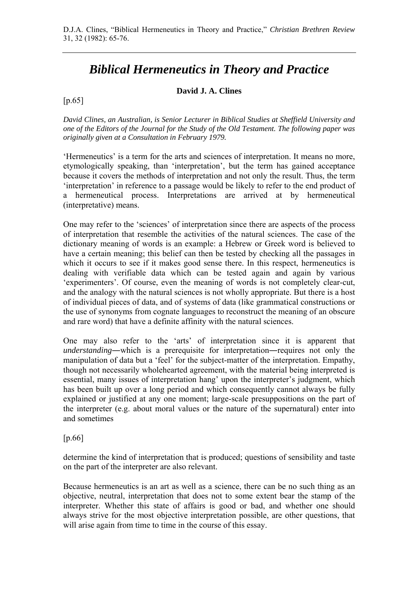# *Biblical Hermeneutics in Theory and Practice*

#### **David J. A. Clines**

 $[p.65]$ 

*David Clines, an Australian, is Senior Lecturer in Biblical Studies at Sheffield University and one of the Editors of the Journal for the Study of the Old Testament. The following paper was originally given at a Consultation in February 1979.* 

'Hermeneutics' is a term for the arts and sciences of interpretation. It means no more, etymologically speaking, than 'interpretation', but the term has gained acceptance because it covers the methods of interpretation and not only the result. Thus, the term 'interpretation' in reference to a passage would be likely to refer to the end product of a hermeneutical process. Interpretations are arrived at by hermeneutical (interpretative) means.

One may refer to the 'sciences' of interpretation since there are aspects of the process of interpretation that resemble the activities of the natural sciences. The case of the dictionary meaning of words is an example: a Hebrew or Greek word is believed to have a certain meaning; this belief can then be tested by checking all the passages in which it occurs to see if it makes good sense there. In this respect, hermeneutics is dealing with verifiable data which can be tested again and again by various 'experimenters'. Of course, even the meaning of words is not completely clear-cut, and the analogy with the natural sciences is not wholly appropriate. But there is a host of individual pieces of data, and of systems of data (like grammatical constructions or the use of synonyms from cognate languages to reconstruct the meaning of an obscure and rare word) that have a definite affinity with the natural sciences.

One may also refer to the 'arts' of interpretation since it is apparent that *understanding*―which is a prerequisite for interpretation―requires not only the manipulation of data but a 'feel' for the subject-matter of the interpretation. Empathy, though not necessarily wholehearted agreement, with the material being interpreted is essential, many issues of interpretation hang' upon the interpreter's judgment, which has been built up over a long period and which consequently cannot always be fully explained or justified at any one moment; large-scale presuppositions on the part of the interpreter (e.g. about moral values or the nature of the supernatural) enter into and sometimes

#### [p.66]

determine the kind of interpretation that is produced; questions of sensibility and taste on the part of the interpreter are also relevant.

Because hermeneutics is an art as well as a science, there can be no such thing as an objective, neutral, interpretation that does not to some extent bear the stamp of the interpreter. Whether this state of affairs is good or bad, and whether one should always strive for the most objective interpretation possible, are other questions, that will arise again from time to time in the course of this essay.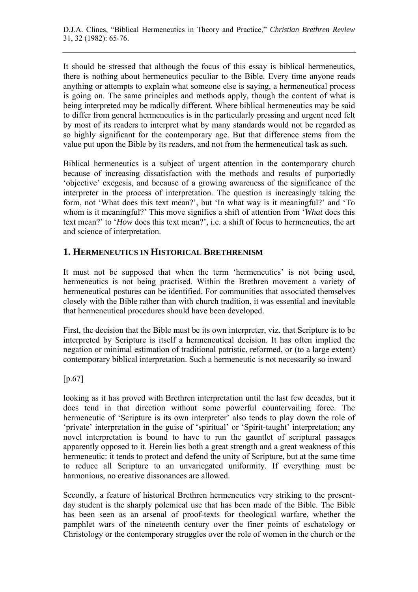It should be stressed that although the focus of this essay is biblical hermeneutics, there is nothing about hermeneutics peculiar to the Bible. Every time anyone reads anything or attempts to explain what someone else is saying, a hermeneutical process is going on. The same principles and methods apply, though the content of what is being interpreted may be radically different. Where biblical hermeneutics may be said to differ from general hermeneutics is in the particularly pressing and urgent need felt by most of its readers to interpret what by many standards would not be regarded as so highly significant for the contemporary age. But that difference stems from the value put upon the Bible by its readers, and not from the hermeneutical task as such.

Biblical hermeneutics is a subject of urgent attention in the contemporary church because of increasing dissatisfaction with the methods and results of purportedly 'objective' exegesis, and because of a growing awareness of the significance of the interpreter in the process of interpretation. The question is increasingly taking the form, not 'What does this text mean?', but 'In what way is it meaningful?' and 'To whom is it meaningful?' This move signifies a shift of attention from '*What* does this text mean?' to '*How* does this text mean?', i.e. a shift of focus to hermeneutics, the art and science of interpretation.

# **1. HERMENEUTICS IN HISTORICAL BRETHRENISM**

It must not be supposed that when the term 'hermeneutics' is not being used, hermeneutics is not being practised. Within the Brethren movement a variety of hermeneutical postures can be identified. For communities that associated themselves closely with the Bible rather than with church tradition, it was essential and inevitable that hermeneutical procedures should have been developed.

First, the decision that the Bible must be its own interpreter, viz. that Scripture is to be interpreted by Scripture is itself a hermeneutical decision. It has often implied the negation or minimal estimation of traditional patristic, reformed, or (to a large extent) contemporary biblical interpretation. Such a hermeneutic is not necessarily so inward

[p.67]

looking as it has proved with Brethren interpretation until the last few decades, but it does tend in that direction without some powerful countervailing force. The hermeneutic of 'Scripture is its own interpreter' also tends to play down the role of 'private' interpretation in the guise of 'spiritual' or 'Spirit-taught' interpretation; any novel interpretation is bound to have to run the gauntlet of scriptural passages apparently opposed to it. Herein lies both a great strength and a great weakness of this hermeneutic: it tends to protect and defend the unity of Scripture, but at the same time to reduce all Scripture to an unvariegated uniformity. If everything must be harmonious, no creative dissonances are allowed.

Secondly, a feature of historical Brethren hermeneutics very striking to the presentday student is the sharply polemical use that has been made of the Bible. The Bible has been seen as an arsenal of proof-texts for theological warfare, whether the pamphlet wars of the nineteenth century over the finer points of eschatology or Christology or the contemporary struggles over the role of women in the church or the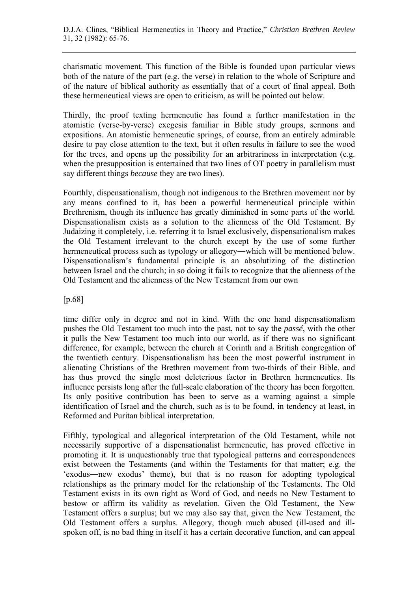charismatic movement. This function of the Bible is founded upon particular views both of the nature of the part (e.g. the verse) in relation to the whole of Scripture and of the nature of biblical authority as essentially that of a court of final appeal. Both these hermeneutical views are open to criticism, as will be pointed out below.

Thirdly, the proof texting hermeneutic has found a further manifestation in the atomistic (verse-by-verse) exegesis familiar in Bible study groups, sermons and expositions. An atomistic hermeneutic springs, of course, from an entirely admirable desire to pay close attention to the text, but it often results in failure to see the wood for the trees, and opens up the possibility for an arbitrariness in interpretation (e.g. when the presupposition is entertained that two lines of OT poetry in parallelism must say different things *because* they are two lines).

Fourthly, dispensationalism, though not indigenous to the Brethren movement nor by any means confined to it, has been a powerful hermeneutical principle within Brethrenism, though its influence has greatly diminished in some parts of the world. Dispensationalism exists as a solution to the alienness of the Old Testament. By Judaizing it completely, i.e. referring it to Israel exclusively, dispensationalism makes the Old Testament irrelevant to the church except by the use of some further hermeneutical process such as typology or allegory―which will be mentioned below. Dispensationalism's fundamental principle is an absolutizing of the distinction between Israel and the church; in so doing it fails to recognize that the alienness of the Old Testament and the alienness of the New Testament from our own

[p.68]

time differ only in degree and not in kind. With the one hand dispensationalism pushes the Old Testament too much into the past, not to say the *passé*, with the other it pulls the New Testament too much into our world, as if there was no significant difference, for example, between the church at Corinth and a British congregation of the twentieth century. Dispensationalism has been the most powerful instrument in alienating Christians of the Brethren movement from two-thirds of their Bible, and has thus proved the single most deleterious factor in Brethren hermeneutics. Its influence persists long after the full-scale elaboration of the theory has been forgotten. Its only positive contribution has been to serve as a warning against a simple identification of Israel and the church, such as is to be found, in tendency at least, in Reformed and Puritan biblical interpretation.

Fifthly, typological and allegorical interpretation of the Old Testament, while not necessarily supportive of a dispensationalist hermeneutic, has proved effective in promoting it. It is unquestionably true that typological patterns and correspondences exist between the Testaments (and within the Testaments for that matter; e.g. the 'exodus―new exodus' theme), but that is no reason for adopting typological relationships as the primary model for the relationship of the Testaments. The Old Testament exists in its own right as Word of God, and needs no New Testament to bestow or affirm its validity as revelation. Given the Old Testament, the New Testament offers a surplus; but we may also say that, given the New Testament, the Old Testament offers a surplus. Allegory, though much abused (ill-used and illspoken off, is no bad thing in itself it has a certain decorative function, and can appeal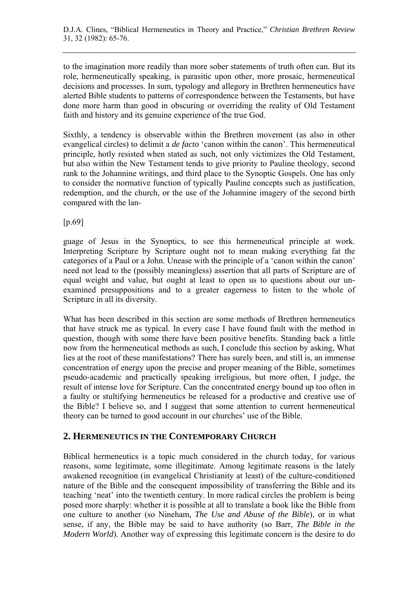to the imagination more readily than more sober statements of truth often can. But its role, hermeneutically speaking, is parasitic upon other, more prosaic, hermeneutical decisions and processes. In sum, typology and allegory in Brethren hermeneutics have alerted Bible students to patterns of correspondence between the Testaments, but have done more harm than good in obscuring or overriding the reality of Old Testament faith and history and its genuine experience of the true God.

Sixthly, a tendency is observable within the Brethren movement (as also in other evangelical circles) to delimit a *de facto* 'canon within the canon'. This hermeneutical principle, hotly resisted when stated as such, not only victimizes the Old Testament, but also within the New Testament tends to give priority to Pauline theology, second rank to the Johannine writings, and third place to the Synoptic Gospels. One has only to consider the normative function of typically Pauline concepts such as justification, redemption, and the church, or the use of the Johannine imagery of the second birth compared with the lan-

[p.69]

guage of Jesus in the Synoptics, to see this hermeneutical principle at work. Interpreting Scripture by Scripture ought not to mean making everything fat the categories of a Paul or a John. Unease with the principle of a 'canon within the canon' need not lead to the (possibly meaningless) assertion that all parts of Scripture are of equal weight and value, but ought at least to open us to questions about our unexamined presuppositions and to a greater eagerness to listen to the whole of Scripture in all its diversity.

What has been described in this section are some methods of Brethren hermeneutics that have struck me as typical. In every case I have found fault with the method in question, though with some there have been positive benefits. Standing back a little now from the hermeneutical methods as such, I conclude this section by asking, What lies at the root of these manifestations? There has surely been, and still is, an immense concentration of energy upon the precise and proper meaning of the Bible, sometimes pseudo-academic and practically speaking irreligious, but more often, I judge, the result of intense love for Scripture. Can the concentrated energy bound up too often in a faulty or stultifying hermeneutics be released for a productive and creative use of the Bible? I believe so, and I suggest that some attention to current hermeneutical theory can be turned to good account in our churches' use of the Bible.

# **2. HERMENEUTICS IN THE CONTEMPORARY CHURCH**

Biblical hermeneutics is a topic much considered in the church today, for various reasons, some legitimate, some illegitimate. Among legitimate reasons is the lately awakened recognition (in evangelical Christianity at least) of the culture-conditioned nature of the Bible and the consequent impossibility of transferring the Bible and its teaching 'neat' into the twentieth century. In more radical circles the problem is being posed more sharply: whether it is possible at all to translate a book like the Bible from one culture to another (so Nineham, *The Use and Abuse of the Bible*), or in what sense, if any, the Bible may be said to have authority (so Barr, *The Bible in the Modern World*). Another way of expressing this legitimate concern is the desire to do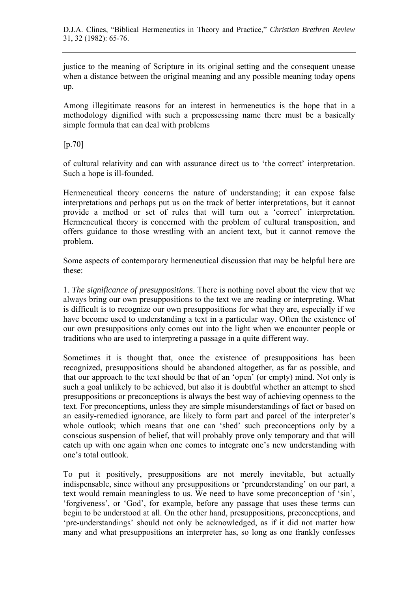D.J.A. Clines, "Biblical Hermeneutics in Theory and Practice," *Christian Brethren Review* 31, 32 (1982): 65-76.

justice to the meaning of Scripture in its original setting and the consequent unease when a distance between the original meaning and any possible meaning today opens up.

Among illegitimate reasons for an interest in hermeneutics is the hope that in a methodology dignified with such a prepossessing name there must be a basically simple formula that can deal with problems

[p.70]

of cultural relativity and can with assurance direct us to 'the correct' interpretation. Such a hope is ill-founded.

Hermeneutical theory concerns the nature of understanding; it can expose false interpretations and perhaps put us on the track of better interpretations, but it cannot provide a method or set of rules that will turn out a 'correct' interpretation. Hermeneutical theory is concerned with the problem of cultural transposition, and offers guidance to those wrestling with an ancient text, but it cannot remove the problem.

Some aspects of contemporary hermeneutical discussion that may be helpful here are these:

1. *The significance of presuppositions*. There is nothing novel about the view that we always bring our own presuppositions to the text we are reading or interpreting. What is difficult is to recognize our own presuppositions for what they are, especially if we have become used to understanding a text in a particular way. Often the existence of our own presuppositions only comes out into the light when we encounter people or traditions who are used to interpreting a passage in a quite different way.

Sometimes it is thought that, once the existence of presuppositions has been recognized, presuppositions should be abandoned altogether, as far as possible, and that our approach to the text should be that of an 'open' (or empty) mind. Not only is such a goal unlikely to be achieved, but also it is doubtful whether an attempt to shed presuppositions or preconceptions is always the best way of achieving openness to the text. For preconceptions, unless they are simple misunderstandings of fact or based on an easily-remedied ignorance, are likely to form part and parcel of the interpreter's whole outlook; which means that one can 'shed' such preconceptions only by a conscious suspension of belief, that will probably prove only temporary and that will catch up with one again when one comes to integrate one's new understanding with one's total outlook.

To put it positively, presuppositions are not merely inevitable, but actually indispensable, since without any presuppositions or 'preunderstanding' on our part, a text would remain meaningless to us. We need to have some preconception of 'sin', 'forgiveness', or 'God', for example, before any passage that uses these terms can begin to be understood at all. On the other hand, presuppositions, preconceptions, and 'pre-understandings' should not only be acknowledged, as if it did not matter how many and what presuppositions an interpreter has, so long as one frankly confesses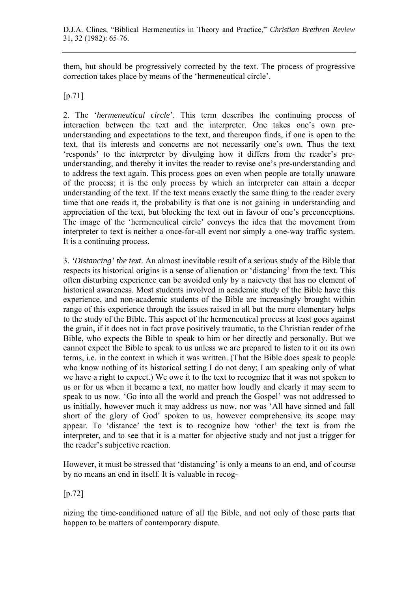them, but should be progressively corrected by the text. The process of progressive correction takes place by means of the 'hermeneutical circle'.

#### [p.71]

2. The '*hermeneutical circle*'. This term describes the continuing process of interaction between the text and the interpreter. One takes one's own preunderstanding and expectations to the text, and thereupon finds, if one is open to the text, that its interests and concerns are not necessarily one's own. Thus the text 'responds' to the interpreter by divulging how it differs from the reader's preunderstanding, and thereby it invites the reader to revise one's pre-understanding and to address the text again. This process goes on even when people are totally unaware of the process; it is the only process by which an interpreter can attain a deeper understanding of the text. If the text means exactly the same thing to the reader every time that one reads it, the probability is that one is not gaining in understanding and appreciation of the text, but blocking the text out in favour of one's preconceptions. The image of the 'hermeneutical circle' conveys the idea that the movement from interpreter to text is neither a once-for-all event nor simply a one-way traffic system. It is a continuing process.

3. *'Distancing' the text*. An almost inevitable result of a serious study of the Bible that respects its historical origins is a sense of alienation or 'distancing' from the text. This often disturbing experience can be avoided only by a naievety that has no element of historical awareness. Most students involved in academic study of the Bible have this experience, and non-academic students of the Bible are increasingly brought within range of this experience through the issues raised in all but the more elementary helps to the study of the Bible. This aspect of the hermeneutical process at least goes against the grain, if it does not in fact prove positively traumatic, to the Christian reader of the Bible, who expects the Bible to speak to him or her directly and personally. But we cannot expect the Bible to speak to us unless we are prepared to listen to it on its own terms, i.e. in the context in which it was written. (That the Bible does speak to people who know nothing of its historical setting I do not deny; I am speaking only of what we have a right to expect.) We owe it to the text to recognize that it was not spoken to us or for us when it became a text, no matter how loudly and clearly it may seem to speak to us now. 'Go into all the world and preach the Gospel' was not addressed to us initially, however much it may address us now, nor was 'All have sinned and fall short of the glory of God' spoken to us, however comprehensive its scope may appear. To 'distance' the text is to recognize how 'other' the text is from the interpreter, and to see that it is a matter for objective study and not just a trigger for the reader's subjective reaction.

However, it must be stressed that 'distancing' is only a means to an end, and of course by no means an end in itself. It is valuable in recog-

[p.72]

nizing the time-conditioned nature of all the Bible, and not only of those parts that happen to be matters of contemporary dispute.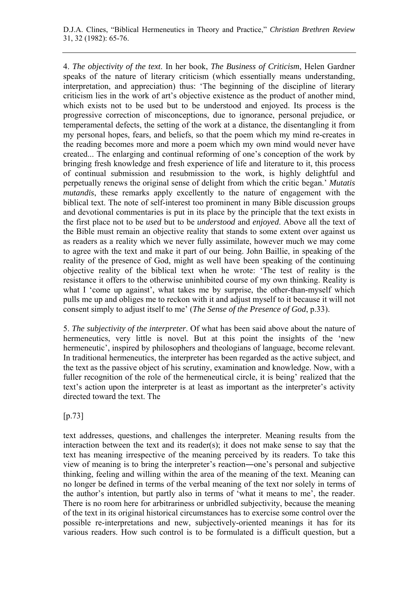D.J.A. Clines, "Biblical Hermeneutics in Theory and Practice," *Christian Brethren Review* 31, 32 (1982): 65-76.

4. *The objectivity of the text*. In her book, *The Business of Criticism*, Helen Gardner speaks of the nature of literary criticism (which essentially means understanding, interpretation, and appreciation) thus: 'The beginning of the discipline of literary criticism lies in the work of art's objective existence as the product of another mind, which exists not to be used but to be understood and enjoyed. Its process is the progressive correction of misconceptions, due to ignorance, personal prejudice, or temperamental defects, the setting of the work at a distance, the disentangling it from my personal hopes, fears, and beliefs, so that the poem which my mind re-creates in the reading becomes more and more a poem which my own mind would never have created... The enlarging and continual reforming of one's conception of the work by bringing fresh knowledge and fresh experience of life and literature to it, this process of continual submission and resubmission to the work, is highly delightful and perpetually renews the original sense of delight from which the critic began.' *Mutatis mutandis*, these remarks apply excellently to the nature of engagement with the biblical text. The note of self-interest too prominent in many Bible discussion groups and devotional commentaries is put in its place by the principle that the text exists in the first place not to be *used* but to be *understood* and *enjoyed*. Above all the text of the Bible must remain an objective reality that stands to some extent over against us as readers as a reality which we never fully assimilate, however much we may come to agree with the text and make it part of our being. John Baillie, in speaking of the reality of the presence of God, might as well have been speaking of the continuing objective reality of the biblical text when he wrote: 'The test of reality is the resistance it offers to the otherwise uninhibited course of my own thinking. Reality is what I 'come up against', what takes me by surprise, the other-than-myself which pulls me up and obliges me to reckon with it and adjust myself to it because it will not consent simply to adjust itself to me' (*The Sense of the Presence of God*, p.33).

5. *The subjectivity of the interpreter*. Of what has been said above about the nature of hermeneutics, very little is novel. But at this point the insights of the 'new hermeneutic', inspired by philosophers and theologians of language, become relevant. In traditional hermeneutics, the interpreter has been regarded as the active subject, and the text as the passive object of his scrutiny, examination and knowledge. Now, with a fuller recognition of the role of the hermeneutical circle, it is being' realized that the text's action upon the interpreter is at least as important as the interpreter's activity directed toward the text. The

[p.73]

text addresses, questions, and challenges the interpreter. Meaning results from the interaction between the text and its reader(s); it does not make sense to say that the text has meaning irrespective of the meaning perceived by its readers. To take this view of meaning is to bring the interpreter's reaction―one's personal and subjective thinking, feeling and willing within the area of the meaning of the text. Meaning can no longer be defined in terms of the verbal meaning of the text nor solely in terms of the author's intention, but partly also in terms of 'what it means to me', the reader. There is no room here for arbitrariness or unbridled subjectivity, because the meaning of the text in its original historical circumstances has to exercise some control over the possible re-interpretations and new, subjectively-oriented meanings it has for its various readers. How such control is to be formulated is a difficult question, but a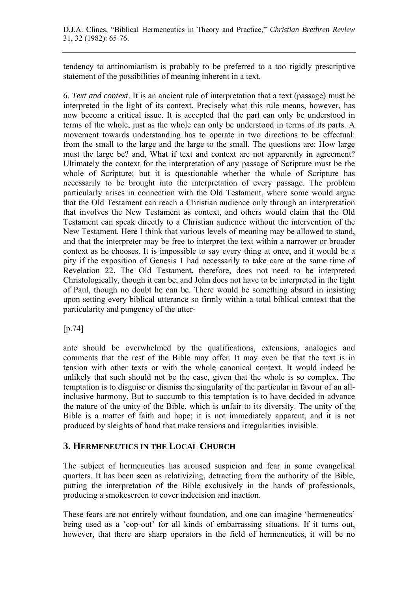tendency to antinomianism is probably to be preferred to a too rigidly prescriptive statement of the possibilities of meaning inherent in a text.

6. *Text and context*. It is an ancient rule of interpretation that a text (passage) must be interpreted in the light of its context. Precisely what this rule means, however, has now become a critical issue. It is accepted that the part can only be understood in terms of the whole, just as the whole can only be understood in terms of its parts. A movement towards understanding has to operate in two directions to be effectual: from the small to the large and the large to the small. The questions are: How large must the large be? and, What if text and context are not apparently in agreement? Ultimately the context for the interpretation of any passage of Scripture must be the whole of Scripture; but it is questionable whether the whole of Scripture has necessarily to be brought into the interpretation of every passage. The problem particularly arises in connection with the Old Testament, where some would argue that the Old Testament can reach a Christian audience only through an interpretation that involves the New Testament as context, and others would claim that the Old Testament can speak directly to a Christian audience without the intervention of the New Testament. Here I think that various levels of meaning may be allowed to stand, and that the interpreter may be free to interpret the text within a narrower or broader context as he chooses. It is impossible to say every thing at once, and it would be a pity if the exposition of Genesis 1 had necessarily to take care at the same time of Revelation 22. The Old Testament, therefore, does not need to be interpreted Christologically, though it can be, and John does not have to be interpreted in the light of Paul, though no doubt he can be. There would be something absurd in insisting upon setting every biblical utterance so firmly within a total biblical context that the particularity and pungency of the utter-

#### [p.74]

ante should be overwhelmed by the qualifications, extensions, analogies and comments that the rest of the Bible may offer. It may even be that the text is in tension with other texts or with the whole canonical context. It would indeed be unlikely that such should not be the case, given that the whole is so complex. The temptation is to disguise or dismiss the singularity of the particular in favour of an allinclusive harmony. But to succumb to this temptation is to have decided in advance the nature of the unity of the Bible, which is unfair to its diversity. The unity of the Bible is a matter of faith and hope; it is not immediately apparent, and it is not produced by sleights of hand that make tensions and irregularities invisible.

# **3. HERMENEUTICS IN THE LOCAL CHURCH**

The subject of hermeneutics has aroused suspicion and fear in some evangelical quarters. It has been seen as relativizing, detracting from the authority of the Bible, putting the interpretation of the Bible exclusively in the hands of professionals, producing a smokescreen to cover indecision and inaction.

These fears are not entirely without foundation, and one can imagine 'hermeneutics' being used as a 'cop-out' for all kinds of embarrassing situations. If it turns out, however, that there are sharp operators in the field of hermeneutics, it will be no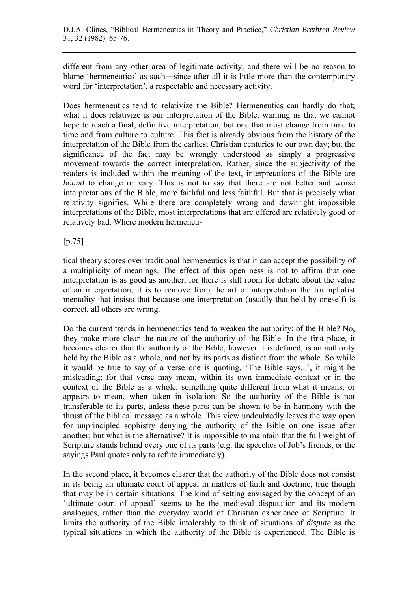different from any other area of legitimate activity, and there will be no reason to blame 'hermeneutics' as such―since after all it is little more than the contemporary word for 'interpretation', a respectable and necessary activity.

Does hermeneutics tend to relativize the Bible? Hermeneutics can hardly do that; what it does relativize is our interpretation of the Bible, warning us that we cannot hope to reach a final, definitive interpretation, but one that must change from time to time and from culture to culture. This fact is already obvious from the history of the interpretation of the Bible from the earliest Christian centuries to our own day; but the significance of the fact may be wrongly understood as simply a progressive movement towards the correct interpretation. Rather, since the subjectivity of the readers is included within the meaning of the text, interpretations of the Bible are *bound* to change or vary. This is not to say that there are not better and worse interpretations of the Bible, more faithful and less faithful. But that is precisely what relativity signifies. While there are completely wrong and downright impossible interpretations of the Bible, most interpretations that are offered are relatively good or relatively bad. Where modern hermeneu-

### [p.75]

tical theory scores over traditional hermeneutics is that it can accept the possibility of a multiplicity of meanings. The effect of this open ness is not to affirm that one interpretation is as good as another, for there is still room for debate about the value of an interpretation; it is to remove from the art of interpretation the triumphalist mentality that insists that because one interpretation (usually that held by oneself) is correct, all others are wrong.

Do the current trends in hermeneutics tend to weaken the authority; of the Bible? No, they make more clear the nature of the authority of the Bible. In the first place, it becomes clearer that the authority of the Bible, however it is defined, is an authority held by the Bible as a whole, and not by its parts as distinct from the whole. So while it would be true to say of a verse one is quoting, 'The Bible says...', it might be misleading; for that verse may mean, within its own immediate context or in the context of the Bible as a whole, something quite different from what it means, or appears to mean, when taken in isolation. So the authority of the Bible is not transferable to its parts, unless these parts can be shown to be in harmony with the thrust of the biblical message as a whole. This view undoubtedly leaves the way open for unprincipled sophistry denying the authority of the Bible on one issue after another; but what is the alternative? It is impossible to maintain that the full weight of Scripture stands behind every one of its parts (e.g. the speeches of Job's friends, or the sayings Paul quotes only to refute immediately).

In the second place, it becomes clearer that the authority of the Bible does not consist in its being an ultimate court of appeal in matters of faith and doctrine, true though that may be in certain situations. The kind of setting envisaged by the concept of an 'ultimate court of appeal' seems to be the medieval disputation and its modern analogues, rather than the everyday world of Christian experience of Scripture. It limits the authority of the Bible intolerably to think of situations of *dispute* as the typical situations in which the authority of the Bible is experienced. The Bible is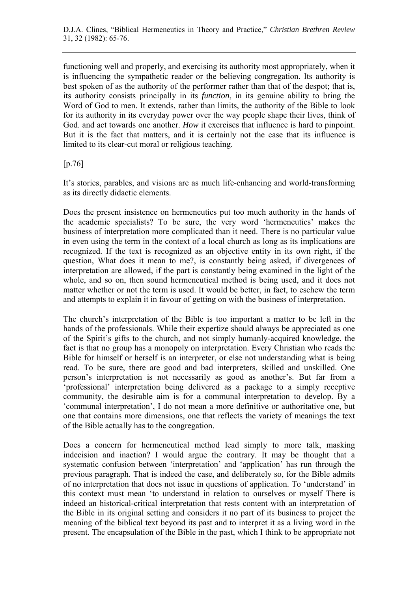functioning well and properly, and exercising its authority most appropriately, when it is influencing the sympathetic reader or the believing congregation. Its authority is best spoken of as the authority of the performer rather than that of the despot; that is, its authority consists principally in its *function*, in its genuine ability to bring the Word of God to men. It extends, rather than limits, the authority of the Bible to look for its authority in its everyday power over the way people shape their lives, think of God. and act towards one another. *How* it exercises that influence is hard to pinpoint. But it is the fact that matters, and it is certainly not the case that its influence is limited to its clear-cut moral or religious teaching.

[p.76]

It's stories, parables, and visions are as much life-enhancing and world-transforming as its directly didactic elements.

Does the present insistence on hermeneutics put too much authority in the hands of the academic specialists? To be sure, the very word 'hermeneutics' makes the business of interpretation more complicated than it need. There is no particular value in even using the term in the context of a local church as long as its implications are recognized. If the text is recognized as an objective entity in its own right, if the question, What does it mean to me?, is constantly being asked, if divergences of interpretation are allowed, if the part is constantly being examined in the light of the whole, and so on, then sound hermeneutical method is being used, and it does not matter whether or not the term is used. It would be better, in fact, to eschew the term and attempts to explain it in favour of getting on with the business of interpretation.

The church's interpretation of the Bible is too important a matter to be left in the hands of the professionals. While their expertize should always be appreciated as one of the Spirit's gifts to the church, and not simply humanly-acquired knowledge, the fact is that no group has a monopoly on interpretation. Every Christian who reads the Bible for himself or herself is an interpreter, or else not understanding what is being read. To be sure, there are good and bad interpreters, skilled and unskilled. One person's interpretation is not necessarily as good as another's. But far from a 'professional' interpretation being delivered as a package to a simply receptive community, the desirable aim is for a communal interpretation to develop. By a 'communal interpretation', I do not mean a more definitive or authoritative one, but one that contains more dimensions, one that reflects the variety of meanings the text of the Bible actually has to the congregation.

Does a concern for hermeneutical method lead simply to more talk, masking indecision and inaction? I would argue the contrary. It may be thought that a systematic confusion between 'interpretation' and 'application' has run through the previous paragraph. That is indeed the case, and deliberately so, for the Bible admits of no interpretation that does not issue in questions of application. To 'understand' in this context must mean 'to understand in relation to ourselves or myself There is indeed an historical-critical interpretation that rests content with an interpretation of the Bible in its original setting and considers it no part of its business to project the meaning of the biblical text beyond its past and to interpret it as a living word in the present. The encapsulation of the Bible in the past, which I think to be appropriate not